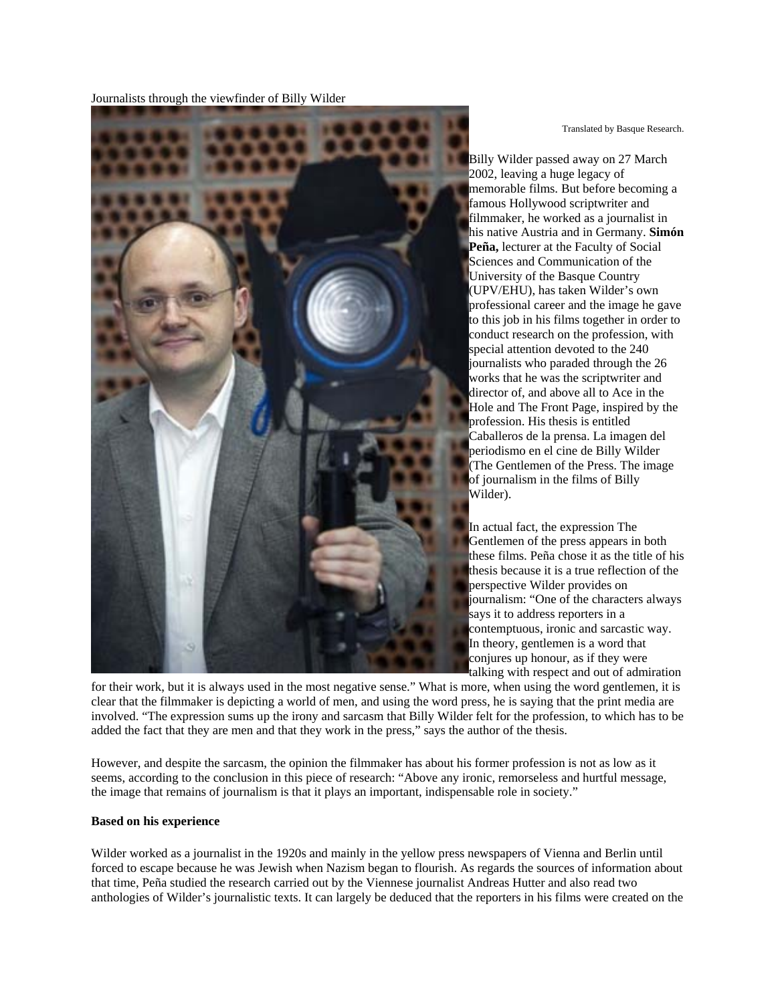Journalists through the viewfinder of Billy Wilder

Translated by Basque Research.

Billy Wilder passed away on 27 March 2002, leaving a huge legacy of memorable films. But before becoming a famous Hollywood scriptwriter and filmmaker, he worked as a journalist in his native Austria and in Germany. **Simón Peña,** lecturer at the Faculty of Social Sciences and Communication of the University of the Basque Country (UPV/EHU), has taken Wilder's own professional career and the image he gave to this job in his films together in order to conduct research on the profession, with special attention devoted to the 240 journalists who paraded through the 26 works that he was the scriptwriter and director of, and above all to Ace in the Hole and The Front Page, inspired by the profession. His thesis is entitled Caballeros de la prensa. La imagen del periodismo en el cine de Billy Wilder (The Gentlemen of the Press. The image of journalism in the films of Billy Wilder).

In actual fact, the expression The Gentlemen of the press appears in both these films. Peña chose it as the title of his thesis because it is a true reflection of the perspective Wilder provides on journalism: "One of the characters always says it to address reporters in a contemptuous, ironic and sarcastic way. In theory, gentlemen is a word that conjures up honour, as if they were talking with respect and out of admiration

for their work, but it is always used in the most negative sense." What is more, when using the word gentlemen, it is clear that the filmmaker is depicting a world of men, and using the word press, he is saying that the print media are involved. "The expression sums up the irony and sarcasm that Billy Wilder felt for the profession, to which has to be added the fact that they are men and that they work in the press," says the author of the thesis.

However, and despite the sarcasm, the opinion the filmmaker has about his former profession is not as low as it seems, according to the conclusion in this piece of research: "Above any ironic, remorseless and hurtful message, the image that remains of journalism is that it plays an important, indispensable role in society."

## **Based on his experience**

Wilder worked as a journalist in the 1920s and mainly in the yellow press newspapers of Vienna and Berlin until forced to escape because he was Jewish when Nazism began to flourish. As regards the sources of information about that time, Peña studied the research carried out by the Viennese journalist Andreas Hutter and also read two anthologies of Wilder's journalistic texts. It can largely be deduced that the reporters in his films were created on the